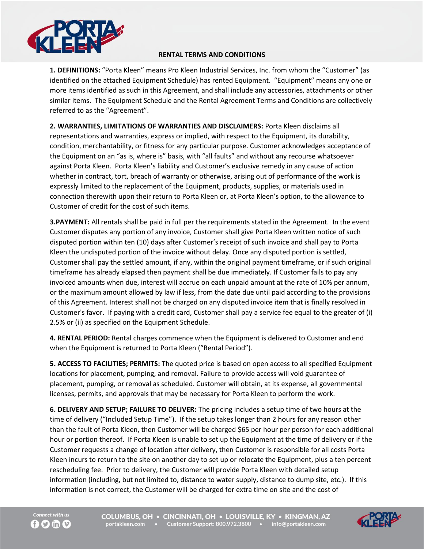

## **RENTAL TERMS AND CONDITIONS**

**1. DEFINITIONS:** "Porta Kleen" means Pro Kleen Industrial Services, Inc. from whom the "Customer" (as identified on the attached Equipment Schedule) has rented Equipment. "Equipment" means any one or more items identified as such in this Agreement, and shall include any accessories, attachments or other similar items. The Equipment Schedule and the Rental Agreement Terms and Conditions are collectively referred to as the "Agreement".

**2. WARRANTIES, LIMITATIONS OF WARRANTIES AND DISCLAIMERS:** Porta Kleen disclaims all representations and warranties, express or implied, with respect to the Equipment, its durability, condition, merchantability, or fitness for any particular purpose. Customer acknowledges acceptance of the Equipment on an "as is, where is" basis, with "all faults" and without any recourse whatsoever against Porta Kleen. Porta Kleen's liability and Customer's exclusive remedy in any cause of action whether in contract, tort, breach of warranty or otherwise, arising out of performance of the work is expressly limited to the replacement of the Equipment, products, supplies, or materials used in connection therewith upon their return to Porta Kleen or, at Porta Kleen's option, to the allowance to Customer of credit for the cost of such items.

**3.PAYMENT:** All rentals shall be paid in full per the requirements stated in the Agreement. In the event Customer disputes any portion of any invoice, Customer shall give Porta Kleen written notice of such disputed portion within ten (10) days after Customer's receipt of such invoice and shall pay to Porta Kleen the undisputed portion of the invoice without delay. Once any disputed portion is settled, Customer shall pay the settled amount, if any, within the original payment timeframe, or if such original timeframe has already elapsed then payment shall be due immediately. If Customer fails to pay any invoiced amounts when due, interest will accrue on each unpaid amount at the rate of 10% per annum, or the maximum amount allowed by law if less, from the date due until paid according to the provisions of this Agreement. Interest shall not be charged on any disputed invoice item that is finally resolved in Customer's favor. If paying with a credit card, Customer shall pay a service fee equal to the greater of (i) 2.5% or (ii) as specified on the Equipment Schedule.

**4. RENTAL PERIOD:** Rental charges commence when the Equipment is delivered to Customer and end when the Equipment is returned to Porta Kleen ("Rental Period").

**5. ACCESS TO FACILITIES; PERMITS:** The quoted price is based on open access to all specified Equipment locations for placement, pumping, and removal. Failure to provide access will void guarantee of placement, pumping, or removal as scheduled. Customer will obtain, at its expense, all governmental licenses, permits, and approvals that may be necessary for Porta Kleen to perform the work.

**6. DELIVERY AND SETUP; FAILURE TO DELIVER:** The pricing includes a setup time of two hours at the time of delivery ("Included Setup Time"). If the setup takes longer than 2 hours for any reason other than the fault of Porta Kleen, then Customer will be charged \$65 per hour per person for each additional hour or portion thereof. If Porta Kleen is unable to set up the Equipment at the time of delivery or if the Customer requests a change of location after delivery, then Customer is responsible for all costs Porta Kleen incurs to return to the site on another day to set up or relocate the Equipment, plus a ten percent rescheduling fee. Prior to delivery, the Customer will provide Porta Kleen with detailed setup information (including, but not limited to, distance to water supply, distance to dump site, etc.). If this information is not correct, the Customer will be charged for extra time on site and the cost of



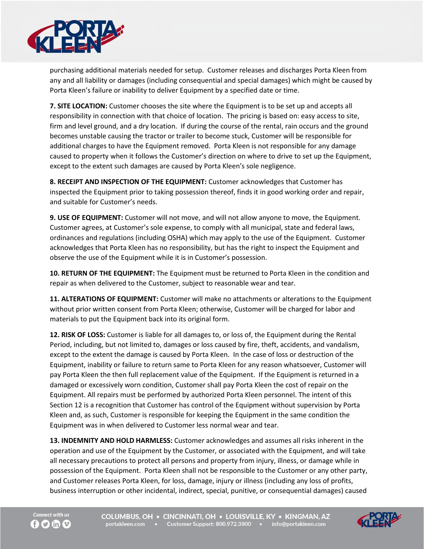

purchasing additional materials needed for setup. Customer releases and discharges Porta Kleen from any and all liability or damages (including consequential and special damages) which might be caused by Porta Kleen's failure or inability to deliver Equipment by a specified date or time.

**7. SITE LOCATION:** Customer chooses the site where the Equipment is to be set up and accepts all responsibility in connection with that choice of location. The pricing is based on: easy access to site, firm and level ground, and a dry location. If during the course of the rental, rain occurs and the ground becomes unstable causing the tractor or trailer to become stuck, Customer will be responsible for additional charges to have the Equipment removed. Porta Kleen is not responsible for any damage caused to property when it follows the Customer's direction on where to drive to set up the Equipment, except to the extent such damages are caused by Porta Kleen's sole negligence.

**8. RECEIPT AND INSPECTION OF THE EQUIPMENT:** Customer acknowledges that Customer has inspected the Equipment prior to taking possession thereof, finds it in good working order and repair, and suitable for Customer's needs.

**9. USE OF EQUIPMENT:** Customer will not move, and will not allow anyone to move, the Equipment. Customer agrees, at Customer's sole expense, to comply with all municipal, state and federal laws, ordinances and regulations (including OSHA) which may apply to the use of the Equipment. Customer acknowledges that Porta Kleen has no responsibility, but has the right to inspect the Equipment and observe the use of the Equipment while it is in Customer's possession.

**10. RETURN OF THE EQUIPMENT:** The Equipment must be returned to Porta Kleen in the condition and repair as when delivered to the Customer, subject to reasonable wear and tear.

**11. ALTERATIONS OF EQUIPMENT:** Customer will make no attachments or alterations to the Equipment without prior written consent from Porta Kleen; otherwise, Customer will be charged for labor and materials to put the Equipment back into its original form.

**12. RISK OF LOSS:** Customer is liable for all damages to, or loss of, the Equipment during the Rental Period, including, but not limited to, damages or loss caused by fire, theft, accidents, and vandalism, except to the extent the damage is caused by Porta Kleen. In the case of loss or destruction of the Equipment, inability or failure to return same to Porta Kleen for any reason whatsoever, Customer will pay Porta Kleen the then full replacement value of the Equipment. If the Equipment is returned in a damaged or excessively worn condition, Customer shall pay Porta Kleen the cost of repair on the Equipment. All repairs must be performed by authorized Porta Kleen personnel. The intent of this Section 12 is a recognition that Customer has control of the Equipment without supervision by Porta Kleen and, as such, Customer is responsible for keeping the Equipment in the same condition the Equipment was in when delivered to Customer less normal wear and tear.

**13. INDEMNITY AND HOLD HARMLESS:** Customer acknowledges and assumes all risks inherent in the operation and use of the Equipment by the Customer, or associated with the Equipment, and will take all necessary precautions to protect all persons and property from injury, illness, or damage while in possession of the Equipment. Porta Kleen shall not be responsible to the Customer or any other party, and Customer releases Porta Kleen, for loss, damage, injury or illness (including any loss of profits, business interruption or other incidental, indirect, special, punitive, or consequential damages) caused



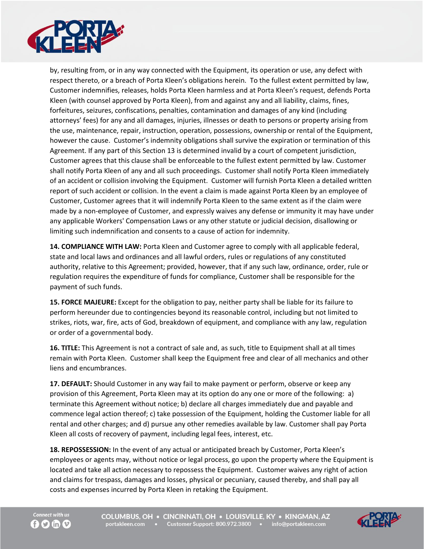

by, resulting from, or in any way connected with the Equipment, its operation or use, any defect with respect thereto, or a breach of Porta Kleen's obligations herein. To the fullest extent permitted by law, Customer indemnifies, releases, holds Porta Kleen harmless and at Porta Kleen's request, defends Porta Kleen (with counsel approved by Porta Kleen), from and against any and all liability, claims, fines, forfeitures, seizures, confiscations, penalties, contamination and damages of any kind (including attorneys' fees) for any and all damages, injuries, illnesses or death to persons or property arising from the use, maintenance, repair, instruction, operation, possessions, ownership or rental of the Equipment, however the cause. Customer's indemnity obligations shall survive the expiration or termination of this Agreement. If any part of this Section 13 is determined invalid by a court of competent jurisdiction, Customer agrees that this clause shall be enforceable to the fullest extent permitted by law. Customer shall notify Porta Kleen of any and all such proceedings. Customer shall notify Porta Kleen immediately of an accident or collision involving the Equipment. Customer will furnish Porta Kleen a detailed written report of such accident or collision. In the event a claim is made against Porta Kleen by an employee of Customer, Customer agrees that it will indemnify Porta Kleen to the same extent as if the claim were made by a non-employee of Customer, and expressly waives any defense or immunity it may have under any applicable Workers' Compensation Laws or any other statute or judicial decision, disallowing or limiting such indemnification and consents to a cause of action for indemnity.

**14. COMPLIANCE WITH LAW:** Porta Kleen and Customer agree to comply with all applicable federal, state and local laws and ordinances and all lawful orders, rules or regulations of any constituted authority, relative to this Agreement; provided, however, that if any such law, ordinance, order, rule or regulation requires the expenditure of funds for compliance, Customer shall be responsible for the payment of such funds.

**15. FORCE MAJEURE:** Except for the obligation to pay, neither party shall be liable for its failure to perform hereunder due to contingencies beyond its reasonable control, including but not limited to strikes, riots, war, fire, acts of God, breakdown of equipment, and compliance with any law, regulation or order of a governmental body.

**16. TITLE:** This Agreement is not a contract of sale and, as such, title to Equipment shall at all times remain with Porta Kleen. Customer shall keep the Equipment free and clear of all mechanics and other liens and encumbrances.

**17. DEFAULT:** Should Customer in any way fail to make payment or perform, observe or keep any provision of this Agreement, Porta Kleen may at its option do any one or more of the following: a) terminate this Agreement without notice; b) declare all charges immediately due and payable and commence legal action thereof; c) take possession of the Equipment, holding the Customer liable for all rental and other charges; and d) pursue any other remedies available by law. Customer shall pay Porta Kleen all costs of recovery of payment, including legal fees, interest, etc.

**18. REPOSSESSION:** In the event of any actual or anticipated breach by Customer, Porta Kleen's employees or agents may, without notice or legal process, go upon the property where the Equipment is located and take all action necessary to repossess the Equipment. Customer waives any right of action and claims for trespass, damages and losses, physical or pecuniary, caused thereby, and shall pay all costs and expenses incurred by Porta Kleen in retaking the Equipment.



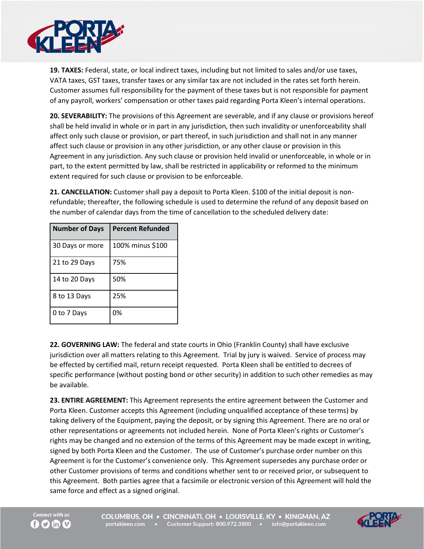

**19. TAXES:** Federal, state, or local indirect taxes, including but not limited to sales and/or use taxes, VATA taxes, GST taxes, transfer taxes or any similar tax are not included in the rates set forth herein. Customer assumes full responsibility for the payment of these taxes but is not responsible for payment of any payroll, workers' compensation or other taxes paid regarding Porta Kleen's internal operations.

**20. SEVERABILITY:** The provisions of this Agreement are severable, and if any clause or provisions hereof shall be held invalid in whole or in part in any jurisdiction, then such invalidity or unenforceability shall affect only such clause or provision, or part thereof, in such jurisdiction and shall not in any manner affect such clause or provision in any other jurisdiction, or any other clause or provision in this Agreement in any jurisdiction. Any such clause or provision held invalid or unenforceable, in whole or in part, to the extent permitted by law, shall be restricted in applicability or reformed to the minimum extent required for such clause or provision to be enforceable.

**21. CANCELLATION:** Customer shall pay a deposit to Porta Kleen. \$100 of the initial deposit is nonrefundable; thereafter, the following schedule is used to determine the refund of any deposit based on the number of calendar days from the time of cancellation to the scheduled delivery date:

| <b>Number of Days</b> | <b>Percent Refunded</b> |
|-----------------------|-------------------------|
| 30 Days or more       | 100% minus \$100        |
| 21 to 29 Days         | 75%                     |
| 14 to 20 Days         | 50%                     |
| 8 to 13 Days          | 25%                     |
| 0 to 7 Days           | 0%                      |

**22. GOVERNING LAW:** The federal and state courts in Ohio (Franklin County) shall have exclusive jurisdiction over all matters relating to this Agreement. Trial by jury is waived. Service of process may be effected by certified mail, return receipt requested. Porta Kleen shall be entitled to decrees of specific performance (without posting bond or other security) in addition to such other remedies as may be available.

**23. ENTIRE AGREEMENT:** This Agreement represents the entire agreement between the Customer and Porta Kleen. Customer accepts this Agreement (including unqualified acceptance of these terms) by taking delivery of the Equipment, paying the deposit, or by signing this Agreement. There are no oral or other representations or agreements not included herein. None of Porta Kleen's rights or Customer's rights may be changed and no extension of the terms of this Agreement may be made except in writing, signed by both Porta Kleen and the Customer. The use of Customer's purchase order number on this Agreement is for the Customer's convenience only. This Agreement supersedes any purchase order or other Customer provisions of terms and conditions whether sent to or received prior, or subsequent to this Agreement. Both parties agree that a facsimile or electronic version of this Agreement will hold the same force and effect as a signed original.